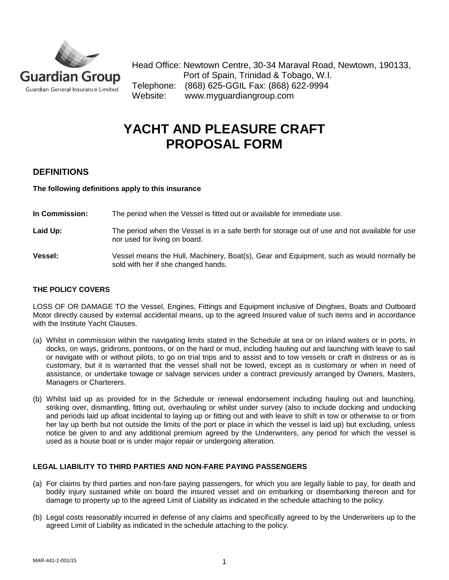

Head Office: Newtown Centre, 30-34 Maraval Road, Newtown, 190133, Port of Spain, Trinidad & Tobago, W.I. Telephone: (868) 625-GGIL Fax: (868) 622-9994 Website: www.myguardiangroup.com

# **YACHT AND PLEASURE CRAFT PROPOSAL FORM**

# **DEFINITIONS**

**The following definitions apply to this insurance**

**In Commission:** The period when the Vessel is fitted out or available for immediate use.

- Laid Up: The period when the Vessel is in a safe berth for storage out of use and not available for use nor used for living on board.
- **Vessel:** Vessel means the Hull, Machinery, Boat(s), Gear and Equipment, such as would normally be sold with her if she changed hands.

## **THE POLICY COVERS**

LOSS OF OR DAMAGE TO the Vessel, Engines, Fittings and Equipment inclusive of Dinghies, Boats and Outboard Motor directly caused by external accidental means, up to the agreed Insured value of such items and in accordance with the Institute Yacht Clauses.

- (a) Whilst in commission within the navigating limits stated in the Schedule at sea or on inland waters or in ports, in docks, on ways, gridirons, pontoons, or on the hard or mud, including hauling out and launching with leave to sail or navigate with or without pilots, to go on trial trips and to assist and to tow vessels or craft in distress or as is customary, but it is warranted that the vessel shall not be towed, except as is customary or when in need of assistance, or undertake towage or salvage services under a contract previously arranged by Owners, Masters, Managers or Charterers.
- (b) Whilst laid up as provided for in the Schedule or renewal endorsement including hauling out and launching, striking over, dismantling, fitting out, overhauling or whilst under survey (also to include docking and undocking and periods laid up afloat incidental to laying up or fitting out and with leave to shift in tow or otherwise to or from her lay up berth but not outside the limits of the port or place in which the vessel is laid up) but excluding, unless notice be given to and any additional premium agreed by the Underwriters, any period for which the vessel is used as a house boat or is under major repair or undergoing alteration.

#### **LEGAL LIABILITY TO THIRD PARTIES AND NON-FARE PAYING PASSENGERS**

- (a) For claims by third parties and non-fare paying passengers, for which you are legally liable to pay, for death and bodily injury sustained while on board the insured vessel and on embarking or disembarking thereon and for damage to property up to the agreed Limit of Liability as indicated in the schedule attaching to the policy.
- (b) Legal costs reasonably incurred in defense of any claims and specifically agreed to by the Underwriters up to the agreed Limit of Liability as indicated in the schedule attaching to the policy.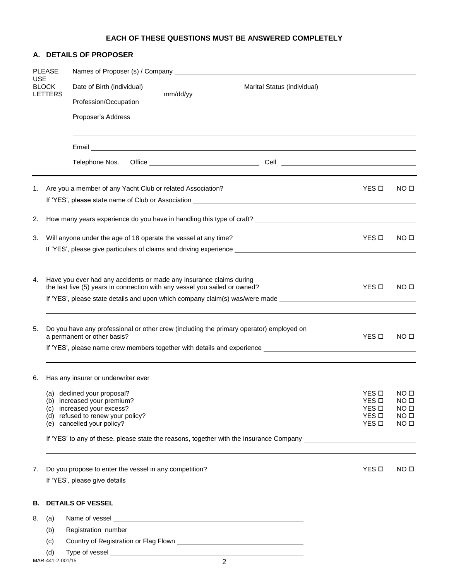# **EACH OF THESE QUESTIONS MUST BE ANSWERED COMPLETELY**

### **A. DETAILS OF PROPOSER**

| <b>PLEASE</b><br><b>USE</b><br><b>BLOCK</b><br>LETTERS |                                                                                                                | Names of Proposer (s) / Company Letter and the control of the control of the control of the control of the control of the control of the control of the control of the control of the control of the control of the control of |              |                                     |                                      |  |  |  |  |  |  |  |  |
|--------------------------------------------------------|----------------------------------------------------------------------------------------------------------------|--------------------------------------------------------------------------------------------------------------------------------------------------------------------------------------------------------------------------------|--------------|-------------------------------------|--------------------------------------|--|--|--|--|--|--|--|--|
|                                                        |                                                                                                                |                                                                                                                                                                                                                                |              |                                     |                                      |  |  |  |  |  |  |  |  |
|                                                        |                                                                                                                | Profession/Occupation                                                                                                                                                                                                          |              |                                     |                                      |  |  |  |  |  |  |  |  |
|                                                        |                                                                                                                |                                                                                                                                                                                                                                |              |                                     |                                      |  |  |  |  |  |  |  |  |
|                                                        |                                                                                                                | Email <u>Communications and the communications</u> of the communications of the communications of the communications of                                                                                                        |              |                                     |                                      |  |  |  |  |  |  |  |  |
|                                                        |                                                                                                                | Telephone Nos.                                                                                                                                                                                                                 |              |                                     |                                      |  |  |  |  |  |  |  |  |
| 1.                                                     |                                                                                                                | Are you a member of any Yacht Club or related Association?                                                                                                                                                                     |              | YES <b>D</b>                        | NO <sub>II</sub>                     |  |  |  |  |  |  |  |  |
| 2.                                                     |                                                                                                                |                                                                                                                                                                                                                                |              |                                     |                                      |  |  |  |  |  |  |  |  |
| 3.                                                     |                                                                                                                | Will anyone under the age of 18 operate the vessel at any time?                                                                                                                                                                |              | YES O                               | NO O                                 |  |  |  |  |  |  |  |  |
|                                                        |                                                                                                                |                                                                                                                                                                                                                                |              |                                     |                                      |  |  |  |  |  |  |  |  |
| 4.                                                     |                                                                                                                | Have you ever had any accidents or made any insurance claims during<br>the last five (5) years in connection with any vessel you sailed or owned?                                                                              |              | YES O                               | NO <sub>II</sub>                     |  |  |  |  |  |  |  |  |
|                                                        |                                                                                                                | If 'YES', please state details and upon which company claim(s) was/were made _________________________________                                                                                                                 |              |                                     |                                      |  |  |  |  |  |  |  |  |
| 5.                                                     |                                                                                                                | Do you have any professional or other crew (including the primary operator) employed on<br>a permanent or other basis?                                                                                                         |              | YES <b>D</b>                        | NO <sub>II</sub>                     |  |  |  |  |  |  |  |  |
|                                                        |                                                                                                                |                                                                                                                                                                                                                                |              |                                     |                                      |  |  |  |  |  |  |  |  |
| 6.                                                     | Has any insurer or underwriter ever                                                                            |                                                                                                                                                                                                                                |              |                                     |                                      |  |  |  |  |  |  |  |  |
|                                                        |                                                                                                                | (a) declined your proposal?                                                                                                                                                                                                    |              | YES <b>D</b>                        | NO <sub>II</sub>                     |  |  |  |  |  |  |  |  |
|                                                        |                                                                                                                | (b) increased your premium?<br>(c) increased your excess?                                                                                                                                                                      |              | $YES$ $\square$<br>YES <sub>D</sub> | NO <sub>II</sub><br>NO <sub>II</sub> |  |  |  |  |  |  |  |  |
|                                                        |                                                                                                                | (d) refused to renew your policy?                                                                                                                                                                                              |              | YES <b>D</b>                        | NO <sub>II</sub>                     |  |  |  |  |  |  |  |  |
|                                                        |                                                                                                                | (e) cancelled your policy?                                                                                                                                                                                                     | YES <b>D</b> | NO <sub>II</sub>                    |                                      |  |  |  |  |  |  |  |  |
|                                                        | If 'YES' to any of these, please state the reasons, together with the Insurance Company ______________________ |                                                                                                                                                                                                                                |              |                                     |                                      |  |  |  |  |  |  |  |  |
| 7.                                                     |                                                                                                                | Do you propose to enter the vessel in any competition?                                                                                                                                                                         |              | YES <b>D</b>                        | NO <sub>II</sub>                     |  |  |  |  |  |  |  |  |
|                                                        |                                                                                                                |                                                                                                                                                                                                                                |              |                                     |                                      |  |  |  |  |  |  |  |  |
| В.                                                     |                                                                                                                | <b>DETAILS OF VESSEL</b>                                                                                                                                                                                                       |              |                                     |                                      |  |  |  |  |  |  |  |  |
| 8.                                                     | (a)                                                                                                            |                                                                                                                                                                                                                                |              |                                     |                                      |  |  |  |  |  |  |  |  |
|                                                        | (b)                                                                                                            |                                                                                                                                                                                                                                |              |                                     |                                      |  |  |  |  |  |  |  |  |
|                                                        | (c)                                                                                                            |                                                                                                                                                                                                                                |              |                                     |                                      |  |  |  |  |  |  |  |  |
|                                                        | (d)                                                                                                            |                                                                                                                                                                                                                                |              |                                     |                                      |  |  |  |  |  |  |  |  |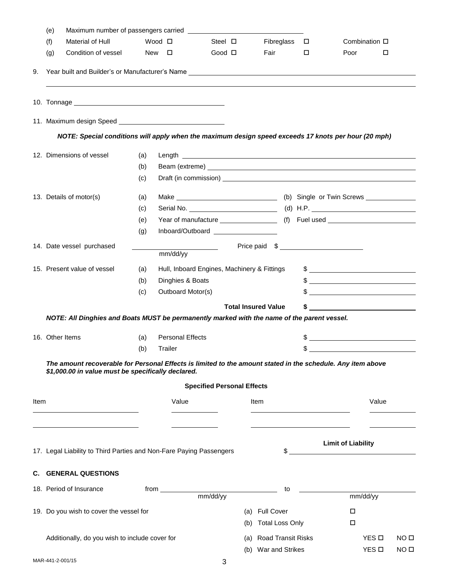|      | (e) |                                                                                                                                                                   |               |                         |                                             |      |                            |        |                                                                                                                                                                                                                                                                                                                     |                  |
|------|-----|-------------------------------------------------------------------------------------------------------------------------------------------------------------------|---------------|-------------------------|---------------------------------------------|------|----------------------------|--------|---------------------------------------------------------------------------------------------------------------------------------------------------------------------------------------------------------------------------------------------------------------------------------------------------------------------|------------------|
|      | (f) | Material of Hull                                                                                                                                                  | Wood □        |                         | Steel $\square$                             |      | Fibreglass $\square$       |        | Combination $\square$                                                                                                                                                                                                                                                                                               |                  |
|      | (g) | Condition of vessel                                                                                                                                               | New $\square$ |                         | Good <b>O</b>                               |      | Fair                       | $\Box$ | Poor                                                                                                                                                                                                                                                                                                                | $\Box$           |
|      |     |                                                                                                                                                                   |               |                         |                                             |      |                            |        |                                                                                                                                                                                                                                                                                                                     |                  |
|      |     |                                                                                                                                                                   |               |                         |                                             |      |                            |        |                                                                                                                                                                                                                                                                                                                     |                  |
|      |     |                                                                                                                                                                   |               |                         |                                             |      |                            |        |                                                                                                                                                                                                                                                                                                                     |                  |
|      |     | NOTE: Special conditions will apply when the maximum design speed exceeds 17 knots per hour (20 mph)                                                              |               |                         |                                             |      |                            |        |                                                                                                                                                                                                                                                                                                                     |                  |
|      |     | 12. Dimensions of vessel                                                                                                                                          | (a)           |                         |                                             |      |                            |        |                                                                                                                                                                                                                                                                                                                     |                  |
|      |     |                                                                                                                                                                   | (b)           |                         |                                             |      |                            |        |                                                                                                                                                                                                                                                                                                                     |                  |
|      |     |                                                                                                                                                                   | (c)           |                         |                                             |      |                            |        |                                                                                                                                                                                                                                                                                                                     |                  |
|      |     | 13. Details of motor(s)                                                                                                                                           | (a)           |                         |                                             |      |                            |        |                                                                                                                                                                                                                                                                                                                     |                  |
|      |     |                                                                                                                                                                   | (c)           |                         |                                             |      |                            |        |                                                                                                                                                                                                                                                                                                                     |                  |
|      |     |                                                                                                                                                                   | (e)           |                         |                                             |      |                            |        |                                                                                                                                                                                                                                                                                                                     |                  |
|      |     |                                                                                                                                                                   | (g)           |                         | Inboard/Outboard                            |      |                            |        |                                                                                                                                                                                                                                                                                                                     |                  |
|      |     | 14. Date vessel purchased                                                                                                                                         |               | mm/dd/yy                |                                             |      | Price paid \$              |        |                                                                                                                                                                                                                                                                                                                     |                  |
|      |     | 15. Present value of vessel                                                                                                                                       | (a)           |                         | Hull, Inboard Engines, Machinery & Fittings |      |                            |        |                                                                                                                                                                                                                                                                                                                     |                  |
|      |     |                                                                                                                                                                   | (b)           | Dinghies & Boats        |                                             |      |                            |        | $\frac{1}{2}$ $\frac{1}{2}$ $\frac{1}{2}$ $\frac{1}{2}$ $\frac{1}{2}$ $\frac{1}{2}$ $\frac{1}{2}$ $\frac{1}{2}$ $\frac{1}{2}$ $\frac{1}{2}$ $\frac{1}{2}$ $\frac{1}{2}$ $\frac{1}{2}$ $\frac{1}{2}$ $\frac{1}{2}$ $\frac{1}{2}$ $\frac{1}{2}$ $\frac{1}{2}$ $\frac{1}{2}$ $\frac{1}{2}$ $\frac{1}{2}$ $\frac{1}{2}$ |                  |
|      |     |                                                                                                                                                                   | (c)           | Outboard Motor(s)       |                                             |      |                            |        |                                                                                                                                                                                                                                                                                                                     |                  |
|      |     |                                                                                                                                                                   |               |                         |                                             |      | <b>Total Insured Value</b> | \$     |                                                                                                                                                                                                                                                                                                                     |                  |
|      |     | NOTE: All Dinghies and Boats MUST be permanently marked with the name of the parent vessel.                                                                       |               |                         |                                             |      |                            |        |                                                                                                                                                                                                                                                                                                                     |                  |
|      |     | 16. Other Items                                                                                                                                                   | (a)           | <b>Personal Effects</b> |                                             |      |                            |        | <u> 1980 - Jan Stein Stein Stein Stein Stein Stein Stein Stein Stein Stein Stein Stein Stein Stein Stein Stein S</u>                                                                                                                                                                                                |                  |
|      |     |                                                                                                                                                                   | (b)           | Trailer                 |                                             |      |                            | \$     |                                                                                                                                                                                                                                                                                                                     |                  |
|      |     | The amount recoverable for Personal Effects is limited to the amount stated in the schedule. Any item above<br>\$1,000.00 in value must be specifically declared. |               |                         | <b>Specified Personal Effects</b>           |      |                            |        |                                                                                                                                                                                                                                                                                                                     |                  |
| Item |     |                                                                                                                                                                   |               | Value                   |                                             | Item |                            |        |                                                                                                                                                                                                                                                                                                                     | Value            |
|      |     |                                                                                                                                                                   |               |                         |                                             |      |                            |        |                                                                                                                                                                                                                                                                                                                     |                  |
|      |     |                                                                                                                                                                   |               |                         |                                             |      |                            |        | <b>Limit of Liability</b>                                                                                                                                                                                                                                                                                           |                  |
|      |     | 17. Legal Liability to Third Parties and Non-Fare Paying Passengers                                                                                               |               |                         |                                             |      |                            |        |                                                                                                                                                                                                                                                                                                                     |                  |
|      |     | <b>C. GENERAL QUESTIONS</b>                                                                                                                                       |               |                         |                                             |      |                            |        |                                                                                                                                                                                                                                                                                                                     |                  |
|      |     | 18. Period of Insurance                                                                                                                                           | from          |                         | mm/dd/yy                                    |      | to                         |        | mm/dd/yy                                                                                                                                                                                                                                                                                                            |                  |
|      |     | 19. Do you wish to cover the vessel for                                                                                                                           |               |                         |                                             | (a)  | <b>Full Cover</b>          |        | $\Box$                                                                                                                                                                                                                                                                                                              |                  |
|      |     |                                                                                                                                                                   |               |                         |                                             | (b)  | <b>Total Loss Only</b>     |        | $\Box$                                                                                                                                                                                                                                                                                                              |                  |
|      |     |                                                                                                                                                                   |               |                         |                                             |      |                            |        |                                                                                                                                                                                                                                                                                                                     |                  |
|      |     | Additionally, do you wish to include cover for                                                                                                                    |               |                         |                                             | (a)  | Road Transit Risks         |        | YES □                                                                                                                                                                                                                                                                                                               | NO <sub>II</sub> |
|      |     |                                                                                                                                                                   |               |                         |                                             |      | (b) War and Strikes        |        | YES D                                                                                                                                                                                                                                                                                                               | NO <sub>0</sub>  |